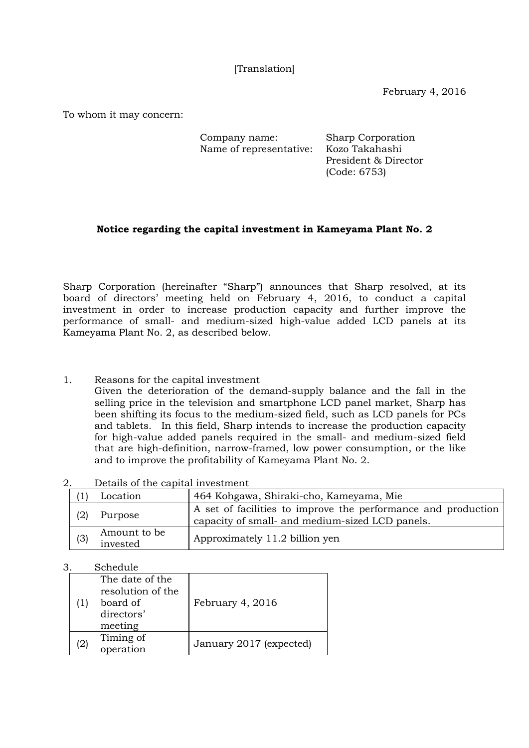[Translation]

February 4, 2016

To whom it may concern:

| Company name:           | <b>Sharp Corporation</b> |
|-------------------------|--------------------------|
| Name of representative: | Kozo Takahashi           |
|                         | President & Director     |

(Code: 6753)

## **Notice regarding the capital investment in Kameyama Plant No. 2**

Sharp Corporation (hereinafter "Sharp") announces that Sharp resolved, at its board of directors' meeting held on February 4, 2016, to conduct a capital investment in order to increase production capacity and further improve the performance of small- and medium-sized high-value added LCD panels at its Kameyama Plant No. 2, as described below.

1. Reasons for the capital investment

Given the deterioration of the demand-supply balance and the fall in the selling price in the television and smartphone LCD panel market, Sharp has been shifting its focus to the medium-sized field, such as LCD panels for PCs and tablets. In this field, Sharp intends to increase the production capacity for high-value added panels required in the small- and medium-sized field that are high-definition, narrow-framed, low power consumption, or the like and to improve the profitability of Kameyama Plant No. 2.

2. Details of the capital investment

|     | Location                 | 464 Kohgawa, Shiraki-cho, Kameyama, Mie                                                                          |
|-----|--------------------------|------------------------------------------------------------------------------------------------------------------|
|     | Purpose                  | A set of facilities to improve the performance and production<br>capacity of small- and medium-sized LCD panels. |
| (3) | Amount to be<br>invested | Approximately 11.2 billion yen                                                                                   |

3. Schedule

|                   | The date of the<br>resolution of the<br>board of<br>directors'<br>meeting | February 4, 2016        |
|-------------------|---------------------------------------------------------------------------|-------------------------|
| $\left( 2\right)$ | Timing of<br>operation                                                    | January 2017 (expected) |